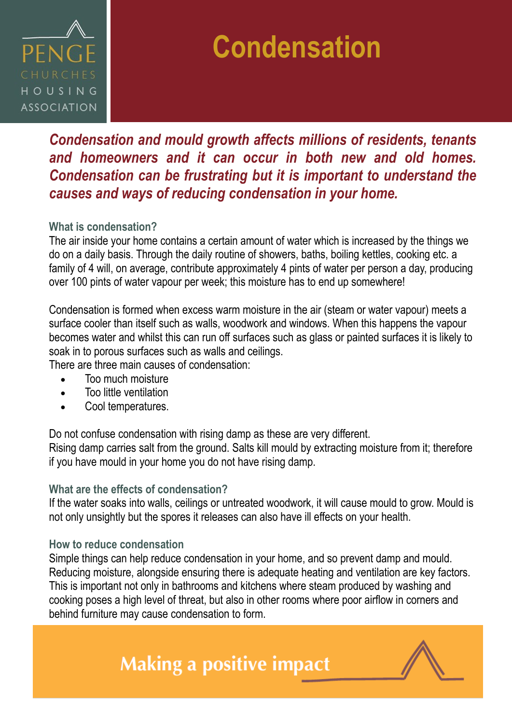

## **Condensation**

### *Condensation and mould growth affects millions of residents, tenants and homeowners and it can occur in both new and old homes. Condensation can be frustrating but it is important to understand the causes and ways of reducing condensation in your home.*

### **What is condensation?**

The air inside your home contains a certain amount of water which is increased by the things we do on a daily basis. Through the daily routine of showers, baths, boiling kettles, cooking etc. a family of 4 will, on average, contribute approximately 4 pints of water per person a day, producing over 100 pints of water vapour per week; this moisture has to end up somewhere!

Condensation is formed when excess warm moisture in the air (steam or water vapour) meets a surface cooler than itself such as walls, woodwork and windows. When this happens the vapour becomes water and whilst this can run off surfaces such as glass or painted surfaces it is likely to soak in to porous surfaces such as walls and ceilings.

There are three main causes of condensation:

- Too much moisture
- Too little ventilation
- Cool temperatures.

Do not confuse condensation with rising damp as these are very different.

Rising damp carries salt from the ground. Salts kill mould by extracting moisture from it; therefore if you have mould in your home you do not have rising damp.

#### **What are the effects of condensation?**

If the water soaks into walls, ceilings or untreated woodwork, it will cause mould to grow. Mould is not only unsightly but the spores it releases can also have ill effects on your health.

#### **How to reduce condensation**

Simple things can help reduce condensation in your home, and so prevent damp and mould. Reducing moisture, alongside ensuring there is adequate heating and ventilation are key factors. This is important not only in bathrooms and kitchens where steam produced by washing and cooking poses a high level of threat, but also in other rooms where poor airflow in corners and behind furniture may cause condensation to form.

### **Making a positive impact**